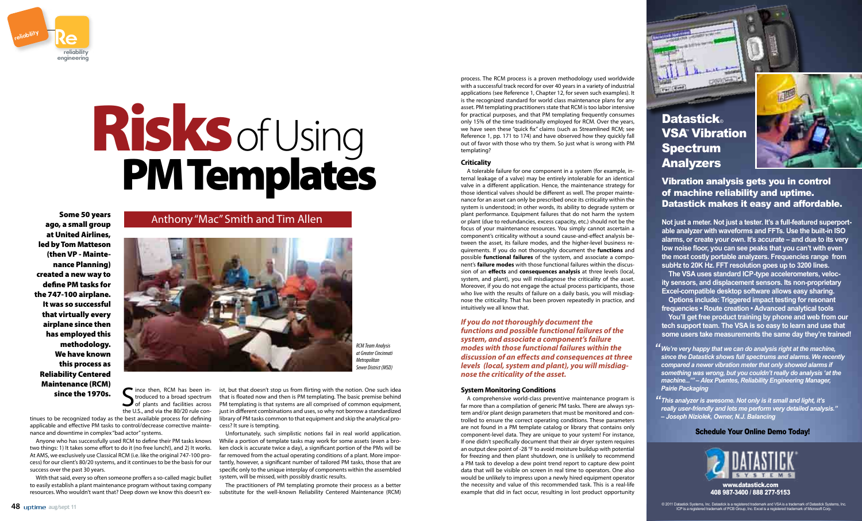S ince then, RCM has been in-<br>troduced to a broad spectrum<br>of plants and facilities across<br>the U.S. and via the 80/20 rule conince then, RCM has been introduced to a broad spectrum the U.S., and via the 80/20 rule con-

tinues to be recognized today as the best available process for defining applicable and effective PM tasks to control/decrease corrective maintenance and downtime in complex "bad actor" systems.

Anyone who has successfully used RCM to define their PM tasks knows two things: 1) It takes some effort to do it (no free lunch!), and 2) It works. At AMS, we exclusively use Classical RCM (i.e. like the original 747-100 process) for our client's 80/20 systems, and it continues to be the basis for our success over the past 30 years.

With that said, every so often someone proffers a so-called magic bullet to easily establish a plant maintenance program without taxing company resources. Who wouldn't want that? Deep down we know this doesn't ex-

ist, but that doesn't stop us from flirting with the notion. One such idea that is floated now and then is PM templating. The basic premise behind PM templating is that systems are all comprised of common equipment, just in different combinations and uses, so why not borrow a standardized library of PM tasks common to that equipment and skip the analytical process? It sure is tempting.

Unfortunately, such simplistic notions fail in real world application. While a portion of template tasks may work for some assets (even a broken clock is accurate twice a day), a significant portion of the PMs will be far removed from the actual operating conditions of a plant. More importantly, however, a significant number of tailored PM tasks, those that are specific only to the unique interplay of components within the assembled system, will be missed, with possibly drastic results.

The practitioners of PM templating promote their process as a better substitute for the well-known Reliability Centered Maintenance (RCM)

ago, a small group at United Airlines, led by Tom Matteson (then VP - Maintenance Planning) created a new way to define PM tasks for the 747-100 airplane. It was so successful that virtually every airplane since then has employed this methodology. We have known this process as Reliability Centered Maintenance (RCM) since the 1970s.

### Some 50 years **Anthony "Mac"** Smith and Tim Allen



# Risks of Using<br>PM Templates

process. The RCM process is a proven methodology used worldwide with a successful track record for over 40 years in a variety of industrial applications (see Reference 1, Chapter 12, for seven such examples). It is the recognized standard for world class maintenance plans for any asset. PM templating practitioners state that RCM is too labor intensive for practical purposes, and that PM templating frequently consumes only 15% of the time traditionally employed for RCM. Over the years, we have seen these "quick fix" claims (such as Streamlined RCM; see Reference 1, pp. 171 to 174) and have observed how they quickly fall out of favor with those who try them. So just what is wrong with PM templating?

#### **Criticality**

A tolerable failure for one component in a system (for example, internal leakage of a valve) may be entirely intolerable for an identical valve in a different application. Hence, the maintenance strategy for those identical valves should be different as well. The proper maintenance for an asset can only be prescribed once its criticality within the system is understood; in other words, its ability to degrade system or plant performance. Equipment failures that do not harm the system of plant performance. Equipment failures that do not harm the system or plant (due to redundancies, excess capacity, etc.) should not be the focus of your maintenance resources. You simply cannot ascertain a component's criticality without a sound cause-and-effect analysis becomponents entering without a sound easse and enect analysis be<br>tween the asset, its failure modes, and the higher-level business requirements. If you do not thoroughly document the **functions** and possible **functional failures** of the system, and associate a compopossible **tunctional tailures** ot the system, and associate a compo-<br>nent's **failure modes** with those functional failures within the discussion of an **effects** and **consequences analysis** at three levels (local, system, and plant), you will misdiagnose the criticality of the asset. Moreover, if you do not engage the actual process participants, those who live with the results of failure on a daily basis, you will misdiagmose the criticality. That has been proven repeatedly in practice, and nose the criticality. That has been proven repeatedly in practice, and intuitively we all know that.

If you do not thoroughly document the<br>functions and possible functional failures of *functions and possible functional failures of the system, and associate a component's failure modes with those functional failures within the discussion of an effects and consequences at three levels (local, system and plant), you will misdiagnose the criticality of the asset.*

#### **System Monitoring Conditions**

A comprehensive world-class preventive maintenance program is far more than a compilation of generic PM tasks. There are always system and/or plant design parameters that must be monitored and controlled to ensure the correct operating conditions. These parameters are not found in a PM template catalog or library that contains only component-level data. They are unique to your system! For instance, If one didn't specifically document that their air dryer system requires an output dew point of -28 °F to avoid moisture buildup with potential for freezing and then plant shutdown, one is unlikely to recommend a PM task to develop a dew point trend report to capture dew point data that will be visible on screen in real time to operators. One also would be unlikely to impress upon a newly hired equipment operator the necessity and value of this recommended task. This is a real-life example that did in fact occur, resulting in lost product opportunity

#### Schedule Your Online Demo Today!



*We're very happy that we can do analysis right at the machine, " since the Datastick shows full spectrums and alarms. We recently compared a newer vibration meter that only showed alarms if something was wrong, but you couldn't really do analysis 'at the machine...'" – Alex Puentes, Reliability Engineering Manager, Pairie Packaging*

*This analyzer is awesome. Not only is it small and light, it's " really user-friendly and lets me perform very detailed analysis." – Joseph Niziolek, Owner, N.J. Balancing*

## Spectrum Analyzers



#### Vibration analysis gets you in control of machine reliability and uptime. Datastick makes it easy and affordable.

**Not just a meter. Not just a tester. It's a full-featured superportable analyzer with waveforms and FFTs. Use the built-in ISO alarms, or create your own. It's accurate – and due to its very low noise floor, you can see peaks that you can't with even the most costly portable analyzers. Frequencies range from subHz to 20K Hz. FFT resolution goes up to 3200 lines.** 

 **The VSA uses standard ICP-type accelerometers, velocity sensors, and displacement sensors. Its non-proprietary Excel-compatible desktop software allows easy sharing.** 



 **Options include: Triggered impact testing for resonant frequencies • Route creation • Advanced analytical tools** 

 **You'll get free product training by phone and web from our tech support team. The VSA is so easy to learn and use that some users take measurements the same day they're trained!**

> www.datastick.com 408 987-3400 / 888 277-5153

© 2011 Datastick Systems, Inc. Datastick Systems and VSA is a registered trademark and VSA is a trademark of Datastick Systems, Inc.<br>ICP is a registered trademark of PCB Group, Inc. Excel is a registered trademark of Micro



*RCM Team Analysis at Greater Cincinnati Metropolitan Sewer District (MSD)*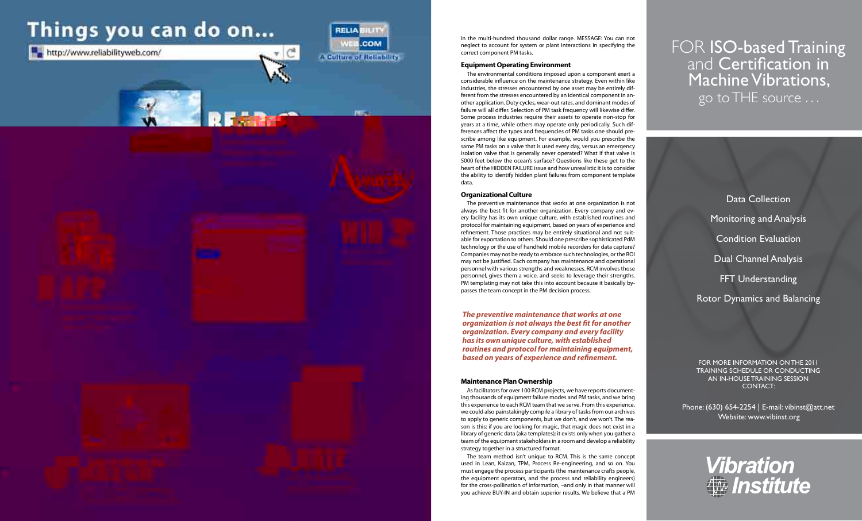# Things you can do on...

http://www.reliabilityweb.com/



## FOR **ISO-based Training**<br>and **Certification in** Machine Vibrations, go to THE source . . .

Data Collection Monitoring and Analysis Condition Evaluation Dual Channel Analysis FFT Understanding Rotor Dynamics and Balancing

FOR MORE InFORMATIOn On ThE 2011 TRAInIng SChEDUlE OR COnDUCTIng An In-hOUSE TRAInIng SESSIOn COnTACT:

Phone: (630) 654-2254 | E-mail: vibinst@att.net Website: www.vibinst.org



in the multi-hundred thousand dollar range. MESSAGE: You can not neglect to account for system or plant interactions in specifying the correct component PM tasks.

#### **Equipment Operating Environment**

The environmental conditions imposed upon a component exert a considerable influence on the maintenance strategy. Even within like industries, the stresses encountered by one asset may be entirely different from the stresses encountered by an identical component in another application. Duty cycles, wear-out rates, and dominant modes of failure will all differ. Selection of PM task frequency will likewise differ. Some process industries require their assets to operate non-stop for years at a time, while others may operate only periodically. Such differences affect the types and frequencies of PM tasks one should prescribe among like equipment. For example, would you prescribe the same PM tasks on a valve that is used every day, versus an emergency isolation valve that is generally never operated? What if that valve is 5000 feet below the ocean's surface? Questions like these get to the heart of the HIDDEN FAILURE issue and how unrealistic it is to consider the ability to identify hidden plant failures from component template data.

#### **Organizational Culture**

The preventive maintenance that works at one organization is not always the best fit for another organization. Every company and every facility has its own unique culture, with established routines and protocol for maintaining equipment, based on years of experience and refinement. Those practices may be entirely situational and not suitable for exportation to others. Should one prescribe sophisticated PdM technology or the use of handheld mobile recorders for data capture? Companies may not be ready to embrace such technologies, or the ROI may not be justified. Each company has maintenance and operational personnel with various strengths and weaknesses. RCM involves those personnel, gives them a voice, and seeks to leverage their strengths. PM templating may not take this into account because it basically bypasses the team concept in the PM decision process.

#### **Maintenance Plan Ownership**

As facilitators for over 100 RCM projects, we have reports documenting thousands of equipment failure modes and PM tasks, and we bring this experience to each RCM team that we serve. From this experience, we could also painstakingly compile a library of tasks from our archives to apply to generic components, but we don't, and we won't. The reason is this: if you are looking for magic, that magic does not exist in a library of generic data (aka templates); it exists only when you gather a team of the equipment stakeholders in a room and develop a reliability strategy together in a structured format.

The team method isn't unique to RCM. This is the same concept used in Lean, Kaizan, TPM, Process Re-engineering, and so on. You must engage the process participants (the maintenance crafts people, the equipment operators, and the process and reliability engineers) for the cross-pollination of information, –and only in that manner will you achieve BUY-IN and obtain superior results. We believe that a PM

*The preventive maintenance that works at one organization is not always the best fit for another organization. Every company and every facility has its own unique culture, with established routines and protocol for maintaining equipment, based on years of experience and refinement.*